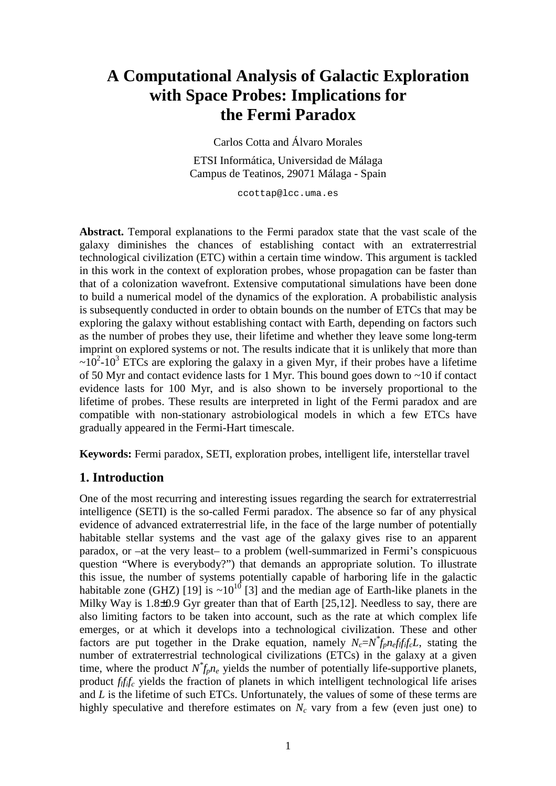# **A Computational Analysis of Galactic Exploration with Space Probes: Implications for the Fermi Paradox**

Carlos Cotta and Álvaro Morales

ETSI Informática, Universidad de Málaga Campus de Teatinos, 29071 Málaga - Spain

ccottap@lcc.uma.es

**Abstract.** Temporal explanations to the Fermi paradox state that the vast scale of the galaxy diminishes the chances of establishing contact with an extraterrestrial technological civilization (ETC) within a certain time window. This argument is tackled in this work in the context of exploration probes, whose propagation can be faster than that of a colonization wavefront. Extensive computational simulations have been done to build a numerical model of the dynamics of the exploration. A probabilistic analysis is subsequently conducted in order to obtain bounds on the number of ETCs that may be exploring the galaxy without establishing contact with Earth, depending on factors such as the number of probes they use, their lifetime and whether they leave some long-term imprint on explored systems or not. The results indicate that it is unlikely that more than  $\sim 10^2$ -10<sup>3</sup> ETCs are exploring the galaxy in a given Myr, if their probes have a lifetime of 50 Myr and contact evidence lasts for 1 Myr. This bound goes down to ~10 if contact evidence lasts for 100 Myr, and is also shown to be inversely proportional to the lifetime of probes. These results are interpreted in light of the Fermi paradox and are compatible with non-stationary astrobiological models in which a few ETCs have gradually appeared in the Fermi-Hart timescale.

**Keywords:** Fermi paradox, SETI, exploration probes, intelligent life, interstellar travel

# **1. Introduction**

One of the most recurring and interesting issues regarding the search for extraterrestrial intelligence (SETI) is the so-called Fermi paradox. The absence so far of any physical evidence of advanced extraterrestrial life, in the face of the large number of potentially habitable stellar systems and the vast age of the galaxy gives rise to an apparent paradox, or –at the very least– to a problem (well-summarized in Fermi's conspicuous question "Where is everybody?") that demands an appropriate solution. To illustrate this issue, the number of systems potentially capable of harboring life in the galactic habitable zone (GHZ) [19] is  $\sim 10^{10}$  [3] and the median age of Earth-like planets in the Milky Way is 1.8±0.9 Gyr greater than that of Earth [25,12]. Needless to say, there are also limiting factors to be taken into account, such as the rate at which complex life emerges, or at which it develops into a technological civilization. These and other factors are put together in the Drake equation, namely  $N_c = N_f^* f_p n_e f_l f_l f_c L$ , stating the number of extraterrestrial technological civilizations (ETCs) in the galaxy at a given time, where the product  $N^*_{fp}n_e$  yields the number of potentially life-supportive planets, product *flfifc* yields the fraction of planets in which intelligent technological life arises and *L* is the lifetime of such ETCs. Unfortunately, the values of some of these terms are highly speculative and therefore estimates on  $N_c$  vary from a few (even just one) to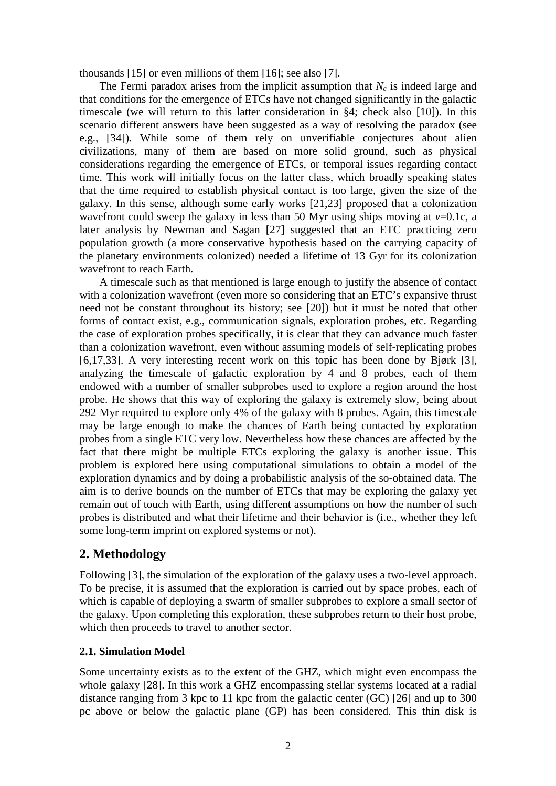thousands [15] or even millions of them [16]; see also [7].

The Fermi paradox arises from the implicit assumption that  $N_c$  is indeed large and that conditions for the emergence of ETCs have not changed significantly in the galactic timescale (we will return to this latter consideration in §4; check also [10]). In this scenario different answers have been suggested as a way of resolving the paradox (see e.g., [34]). While some of them rely on unverifiable conjectures about alien civilizations, many of them are based on more solid ground, such as physical considerations regarding the emergence of ETCs, or temporal issues regarding contact time. This work will initially focus on the latter class, which broadly speaking states that the time required to establish physical contact is too large, given the size of the galaxy. In this sense, although some early works [21,23] proposed that a colonization wavefront could sweep the galaxy in less than 50 Myr using ships moving at  $v=0.1c$ , a later analysis by Newman and Sagan [27] suggested that an ETC practicing zero population growth (a more conservative hypothesis based on the carrying capacity of the planetary environments colonized) needed a lifetime of 13 Gyr for its colonization wavefront to reach Earth.

A timescale such as that mentioned is large enough to justify the absence of contact with a colonization wavefront (even more so considering that an ETC's expansive thrust need not be constant throughout its history; see [20]) but it must be noted that other forms of contact exist, e.g., communication signals, exploration probes, etc. Regarding the case of exploration probes specifically, it is clear that they can advance much faster than a colonization wavefront, even without assuming models of self-replicating probes [6,17,33]. A very interesting recent work on this topic has been done by Bjørk [3], analyzing the timescale of galactic exploration by 4 and 8 probes, each of them endowed with a number of smaller subprobes used to explore a region around the host probe. He shows that this way of exploring the galaxy is extremely slow, being about 292 Myr required to explore only 4% of the galaxy with 8 probes. Again, this timescale may be large enough to make the chances of Earth being contacted by exploration probes from a single ETC very low. Nevertheless how these chances are affected by the fact that there might be multiple ETCs exploring the galaxy is another issue. This problem is explored here using computational simulations to obtain a model of the exploration dynamics and by doing a probabilistic analysis of the so-obtained data. The aim is to derive bounds on the number of ETCs that may be exploring the galaxy yet remain out of touch with Earth, using different assumptions on how the number of such probes is distributed and what their lifetime and their behavior is (i.e., whether they left some long-term imprint on explored systems or not).

## **2. Methodology**

Following [3], the simulation of the exploration of the galaxy uses a two-level approach. To be precise, it is assumed that the exploration is carried out by space probes, each of which is capable of deploying a swarm of smaller subprobes to explore a small sector of the galaxy. Upon completing this exploration, these subprobes return to their host probe, which then proceeds to travel to another sector.

### **2.1. Simulation Model**

Some uncertainty exists as to the extent of the GHZ, which might even encompass the whole galaxy [28]. In this work a GHZ encompassing stellar systems located at a radial distance ranging from 3 kpc to 11 kpc from the galactic center (GC) [26] and up to 300 pc above or below the galactic plane (GP) has been considered. This thin disk is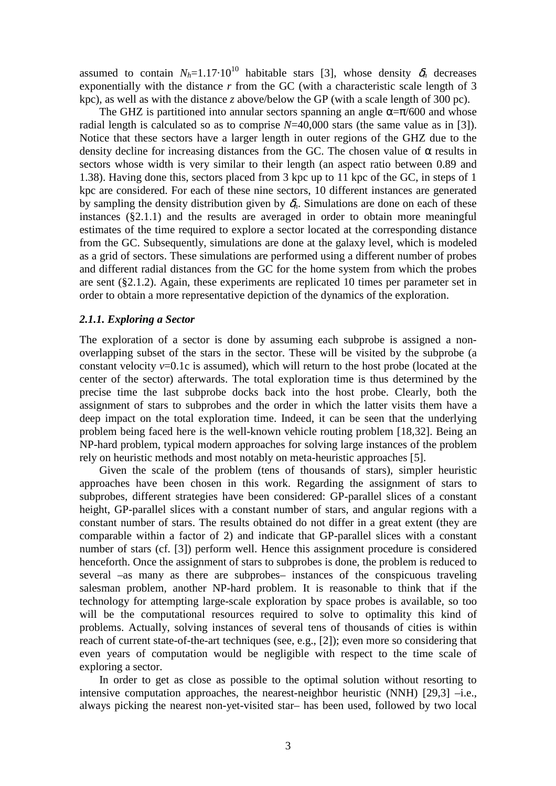assumed to contain  $N_h=1.17\cdot10^{10}$  habitable stars [3], whose density  $\delta_h$  decreases exponentially with the distance *r* from the GC (with a characteristic scale length of 3 kpc), as well as with the distance *z* above/below the GP (with a scale length of 300 pc).

The GHZ is partitioned into annular sectors spanning an angle  $\alpha = \pi/600$  and whose radial length is calculated so as to comprise *N*=40,000 stars (the same value as in [3]). Notice that these sectors have a larger length in outer regions of the GHZ due to the density decline for increasing distances from the GC. The chosen value of  $\alpha$  results in sectors whose width is very similar to their length (an aspect ratio between 0.89 and 1.38). Having done this, sectors placed from 3 kpc up to 11 kpc of the GC, in steps of 1 kpc are considered. For each of these nine sectors, 10 different instances are generated by sampling the density distribution given by  $\delta_h$ . Simulations are done on each of these instances (§2.1.1) and the results are averaged in order to obtain more meaningful estimates of the time required to explore a sector located at the corresponding distance from the GC. Subsequently, simulations are done at the galaxy level, which is modeled as a grid of sectors. These simulations are performed using a different number of probes and different radial distances from the GC for the home system from which the probes are sent (§2.1.2). Again, these experiments are replicated 10 times per parameter set in order to obtain a more representative depiction of the dynamics of the exploration.

#### *2.1.1. Exploring a Sector*

The exploration of a sector is done by assuming each subprobe is assigned a nonoverlapping subset of the stars in the sector. These will be visited by the subprobe (a constant velocity *v*=0.1c is assumed), which will return to the host probe (located at the center of the sector) afterwards. The total exploration time is thus determined by the precise time the last subprobe docks back into the host probe. Clearly, both the assignment of stars to subprobes and the order in which the latter visits them have a deep impact on the total exploration time. Indeed, it can be seen that the underlying problem being faced here is the well-known vehicle routing problem [18,32]. Being an NP-hard problem, typical modern approaches for solving large instances of the problem rely on heuristic methods and most notably on meta-heuristic approaches [5].

Given the scale of the problem (tens of thousands of stars), simpler heuristic approaches have been chosen in this work. Regarding the assignment of stars to subprobes, different strategies have been considered: GP-parallel slices of a constant height, GP-parallel slices with a constant number of stars, and angular regions with a constant number of stars. The results obtained do not differ in a great extent (they are comparable within a factor of 2) and indicate that GP-parallel slices with a constant number of stars (cf. [3]) perform well. Hence this assignment procedure is considered henceforth. Once the assignment of stars to subprobes is done, the problem is reduced to several –as many as there are subprobes– instances of the conspicuous traveling salesman problem, another NP-hard problem. It is reasonable to think that if the technology for attempting large-scale exploration by space probes is available, so too will be the computational resources required to solve to optimality this kind of problems. Actually, solving instances of several tens of thousands of cities is within reach of current state-of-the-art techniques (see, e.g., [2]); even more so considering that even years of computation would be negligible with respect to the time scale of exploring a sector.

In order to get as close as possible to the optimal solution without resorting to intensive computation approaches, the nearest-neighbor heuristic (NNH) [29,3] –i.e., always picking the nearest non-yet-visited star– has been used, followed by two local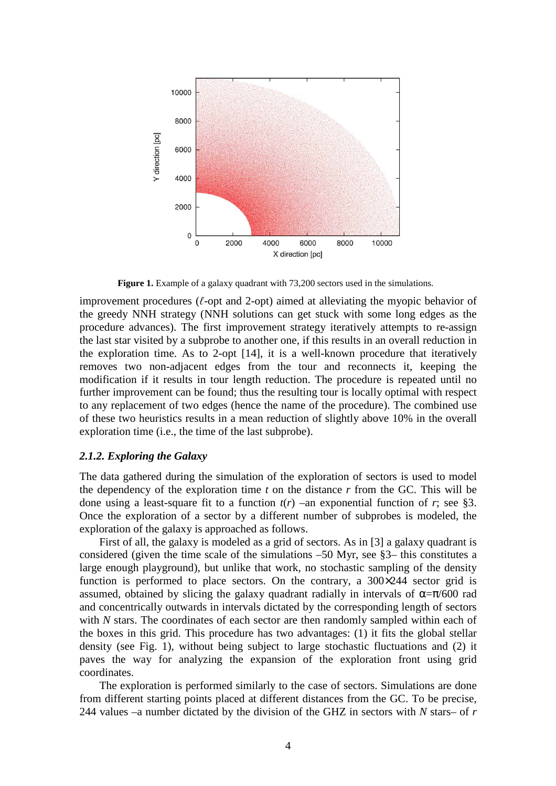

**Figure 1.** Example of a galaxy quadrant with 73,200 sectors used in the simulations.

improvement procedures (*ℓ*-opt and 2-opt) aimed at alleviating the myopic behavior of the greedy NNH strategy (NNH solutions can get stuck with some long edges as the procedure advances). The first improvement strategy iteratively attempts to re-assign the last star visited by a subprobe to another one, if this results in an overall reduction in the exploration time. As to 2-opt [14], it is a well-known procedure that iteratively removes two non-adjacent edges from the tour and reconnects it, keeping the modification if it results in tour length reduction. The procedure is repeated until no further improvement can be found; thus the resulting tour is locally optimal with respect to any replacement of two edges (hence the name of the procedure). The combined use of these two heuristics results in a mean reduction of slightly above 10% in the overall exploration time (i.e., the time of the last subprobe).

#### *2.1.2. Exploring the Galaxy*

The data gathered during the simulation of the exploration of sectors is used to model the dependency of the exploration time *t* on the distance *r* from the GC. This will be done using a least-square fit to a function  $t(r)$  –an exponential function of *r*; see §3. Once the exploration of a sector by a different number of subprobes is modeled, the exploration of the galaxy is approached as follows.

First of all, the galaxy is modeled as a grid of sectors. As in [3] a galaxy quadrant is considered (given the time scale of the simulations –50 Myr, see §3– this constitutes a large enough playground), but unlike that work, no stochastic sampling of the density function is performed to place sectors. On the contrary, a 300×244 sector grid is assumed, obtained by slicing the galaxy quadrant radially in intervals of  $\alpha = \pi/600$  rad and concentrically outwards in intervals dictated by the corresponding length of sectors with *N* stars. The coordinates of each sector are then randomly sampled within each of the boxes in this grid. This procedure has two advantages: (1) it fits the global stellar density (see Fig. 1), without being subject to large stochastic fluctuations and (2) it paves the way for analyzing the expansion of the exploration front using grid coordinates.

The exploration is performed similarly to the case of sectors. Simulations are done from different starting points placed at different distances from the GC. To be precise, 244 values –a number dictated by the division of the GHZ in sectors with *N* stars– of *r*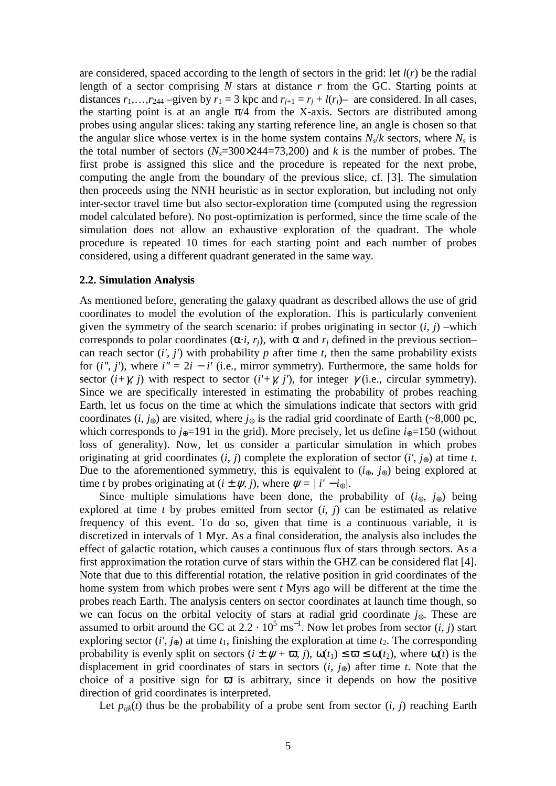are considered, spaced according to the length of sectors in the grid: let *l*(*r*) be the radial length of a sector comprising *N* stars at distance *r* from the GC. Starting points at distances  $r_1, \ldots, r_{244}$  –given by  $r_1 = 3$  kpc and  $r_{j+1} = r_j + l(r_j)$ – are considered. In all cases, the starting point is at an angle  $\pi/4$  from the X-axis. Sectors are distributed among probes using angular slices: taking any starting reference line, an angle is chosen so that the angular slice whose vertex is in the home system contains  $N_s/k$  sectors, where  $N_s$  is the total number of sectors  $(N_s=300\times244=73,200)$  and *k* is the number of probes. The first probe is assigned this slice and the procedure is repeated for the next probe, computing the angle from the boundary of the previous slice, cf. [3]. The simulation then proceeds using the NNH heuristic as in sector exploration, but including not only inter-sector travel time but also sector-exploration time (computed using the regression model calculated before). No post-optimization is performed, since the time scale of the simulation does not allow an exhaustive exploration of the quadrant. The whole procedure is repeated 10 times for each starting point and each number of probes considered, using a different quadrant generated in the same way.

#### **2.2. Simulation Analysis**

As mentioned before, generating the galaxy quadrant as described allows the use of grid coordinates to model the evolution of the exploration. This is particularly convenient given the symmetry of the search scenario: if probes originating in sector  $(i, j)$  –which corresponds to polar coordinates  $(\alpha \cdot i, r_j)$ , with  $\alpha$  and  $r_j$  defined in the previous section– can reach sector  $(i', j')$  with probability *p* after time *t*, then the same probability exists for  $(i''$ ,  $j'$ ), where  $i'' = 2i - i'$  (i.e., mirror symmetry). Furthermore, the same holds for sector  $(i+\gamma, j)$  with respect to sector  $(i'+\gamma, j')$ , for integer  $\gamma$  (i.e., circular symmetry). Since we are specifically interested in estimating the probability of probes reaching Earth, let us focus on the time at which the simulations indicate that sectors with grid coordinates (*i*, *j*⊕) are visited, where *j*⊕ is the radial grid coordinate of Earth (~8,000 pc, which corresponds to  $j_{\oplus}$ =191 in the grid). More precisely, let us define  $i_{\oplus}$ =150 (without loss of generality). Now, let us consider a particular simulation in which probes originating at grid coordinates  $(i, j)$  complete the exploration of sector  $(i', j_{\oplus})$  at time *t*. Due to the aforementioned symmetry, this is equivalent to  $(i_{\oplus}, j_{\oplus})$  being explored at time *t* by probes originating at  $(i \pm \psi, j)$ , where  $\psi = |i' - i_{\oplus}|$ .

Since multiple simulations have been done, the probability of  $(i_{\oplus}, j_{\oplus})$  being explored at time *t* by probes emitted from sector  $(i, j)$  can be estimated as relative frequency of this event. To do so, given that time is a continuous variable, it is discretized in intervals of 1 Myr. As a final consideration, the analysis also includes the effect of galactic rotation, which causes a continuous flux of stars through sectors. As a first approximation the rotation curve of stars within the GHZ can be considered flat [4]. Note that due to this differential rotation, the relative position in grid coordinates of the home system from which probes were sent *t* Myrs ago will be different at the time the probes reach Earth. The analysis centers on sector coordinates at launch time though, so we can focus on the orbital velocity of stars at radial grid coordinate *j*⊕. These are assumed to orbit around the GC at  $2.2 \cdot 10^5$  ms<sup>-1</sup>. Now let probes from sector  $(i, j)$  start exploring sector  $(i', j_{\oplus})$  at time  $t_1$ , finishing the exploration at time  $t_2$ . The corresponding probability is evenly split on sectors  $(i \pm \psi + \overline{\omega}, i)$ ,  $\omega(t_1) \leq \overline{\omega} \leq \omega(t_2)$ , where  $\omega(t)$  is the displacement in grid coordinates of stars in sectors  $(i, j_{\oplus})$  after time *t*. Note that the choice of a positive sign for  $\overline{\omega}$  is arbitrary, since it depends on how the positive direction of grid coordinates is interpreted.

Let  $p_{ijk}(t)$  thus be the probability of a probe sent from sector  $(i, j)$  reaching Earth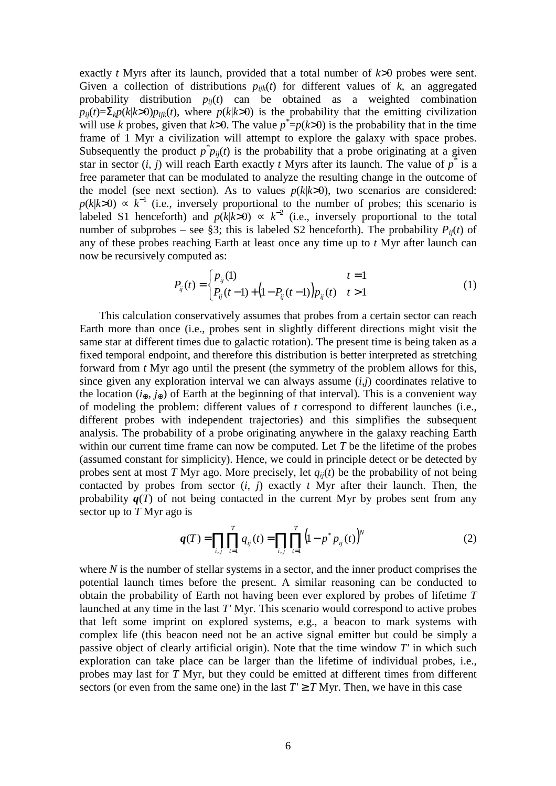exactly *t* Myrs after its launch, provided that a total number of *k*>0 probes were sent. Given a collection of distributions  $p_{ijk}(t)$  for different values of  $k$ , an aggregated probability distribution  $p_{ij}(t)$  can be obtained as a weighted combination  $p_{ii}(t) = \sum_{k} p(k|k>0)p_{ii}(t)$ , where  $p(k|k>0)$  is the probability that the emitting civilization will use *k* probes, given that *k*>0. The value  $p^* = p(k>0)$  is the probability that in the time frame of 1 Myr a civilization will attempt to explore the galaxy with space probes. Subsequently the product  $p^* p_{ij}(t)$  is the probability that a probe originating at a given star in sector  $(i, j)$  will reach Earth exactly *t* Myrs after its launch. The value of  $p^*$  is a free parameter that can be modulated to analyze the resulting change in the outcome of the model (see next section). As to values  $p(k|k>0)$ , two scenarios are considered:  $p(k|k>0) \propto k^{-1}$  (i.e., inversely proportional to the number of probes; this scenario is labeled S1 henceforth) and  $p(k|k>0) \propto k^{-2}$  (i.e., inversely proportional to the total number of subprobes – see §3; this is labeled S2 henceforth). The probability  $P_{ii}(t)$  of any of these probes reaching Earth at least once any time up to *t* Myr after launch can now be recursively computed as:

$$
P_{ij}(t) = \begin{cases} p_{ij}(1) & t = 1 \\ P_{ij}(t-1) + (1 - P_{ij}(t-1))p_{ij}(t) & t > 1 \end{cases}
$$
(1)

This calculation conservatively assumes that probes from a certain sector can reach Earth more than once (i.e., probes sent in slightly different directions might visit the same star at different times due to galactic rotation). The present time is being taken as a fixed temporal endpoint, and therefore this distribution is better interpreted as stretching forward from *t* Myr ago until the present (the symmetry of the problem allows for this, since given any exploration interval we can always assume (*i*,*j*) coordinates relative to the location ( $i_{\oplus}, j_{\oplus}$ ) of Earth at the beginning of that interval). This is a convenient way of modeling the problem: different values of *t* correspond to different launches (i.e., different probes with independent trajectories) and this simplifies the subsequent analysis. The probability of a probe originating anywhere in the galaxy reaching Earth within our current time frame can now be computed. Let *T* be the lifetime of the probes (assumed constant for simplicity). Hence, we could in principle detect or be detected by probes sent at most *T* Myr ago. More precisely, let  $q_{ii}(t)$  be the probability of not being contacted by probes from sector  $(i, j)$  exactly  $t$  Myr after their launch. Then, the probability  $q(T)$  of not being contacted in the current Myr by probes sent from any sector up to *T* Myr ago is

$$
q(T) = \prod_{i,j} \prod_{t=1}^{T} q_{ij}(t) = \prod_{i,j} \prod_{t=1}^{T} (1 - p^* p_{ij}(t))^N
$$
 (2)

where *N* is the number of stellar systems in a sector, and the inner product comprises the potential launch times before the present. A similar reasoning can be conducted to obtain the probability of Earth not having been ever explored by probes of lifetime *T*  launched at any time in the last *T'* Myr. This scenario would correspond to active probes that left some imprint on explored systems, e.g., a beacon to mark systems with complex life (this beacon need not be an active signal emitter but could be simply a passive object of clearly artificial origin). Note that the time window *T'* in which such exploration can take place can be larger than the lifetime of individual probes, i.e., probes may last for *T* Myr, but they could be emitted at different times from different sectors (or even from the same one) in the last  $T' \geq T Myr$ . Then, we have in this case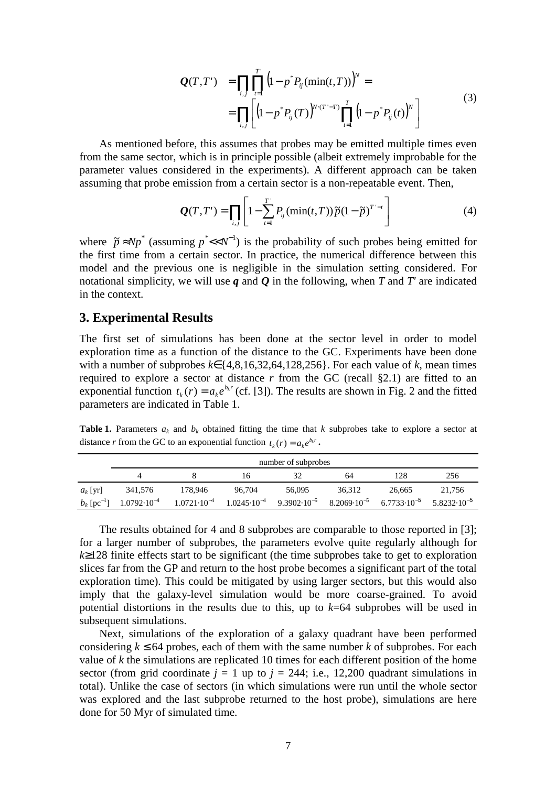$$
Q(T,T') = \prod_{i,j} \prod_{t=1}^{T'} \left(1 - p^* P_{ij}(\min(t,T))\right)^N =
$$
  
= 
$$
\prod_{i,j} \left[ \left(1 - p^* P_{ij}(T)\right)^{N \cdot (T'-T)} \prod_{t=1}^{T} \left(1 - p^* P_{ij}(t)\right)^N \right]
$$
(3)

As mentioned before, this assumes that probes may be emitted multiple times even from the same sector, which is in principle possible (albeit extremely improbable for the parameter values considered in the experiments). A different approach can be taken assuming that probe emission from a certain sector is a non-repeatable event. Then,

$$
\mathbf{Q}(T,T') = \prod_{i,j} \left[ 1 - \sum_{t=1}^{T'} P_{ij}(\min(t,T)) \widetilde{p}(1-\widetilde{p})^{T'-t} \right]
$$
(4)

where  $\tilde{p} \approx Np^*$  (assuming  $p^* << N^{-1}$ ) is the probability of such probes being emitted for the first time from a certain sector. In practice, the numerical difference between this model and the previous one is negligible in the simulation setting considered. For notational simplicity, we will use *q* and *Q* in the following, when *T* and *T'* are indicated in the context.

### **3. Experimental Results**

The first set of simulations has been done at the sector level in order to model exploration time as a function of the distance to the GC. Experiments have been done with a number of subprobes *k*∈{4,8,16,32,64,128,256}. For each value of *k*, mean times required to explore a sector at distance  $r$  from the GC (recall  $\S$ 2.1) are fitted to an exponential function  $t_k(r) = a_k e^{b_k r}$  (cf. [3]). The results are shown in Fig. 2 and the fitted parameters are indicated in Table 1.

**Table 1.** Parameters  $a_k$  and  $b_k$  obtained fitting the time that *k* subprobes take to explore a sector at distance *r* from the GC to an exponential function  $t_k(r) = a_k e^{b_k r}$ .

|                           | number of subprobes    |                                                                                                                    |        |        |        |        |                        |
|---------------------------|------------------------|--------------------------------------------------------------------------------------------------------------------|--------|--------|--------|--------|------------------------|
|                           |                        |                                                                                                                    | ١h     |        | 64     | 128    | 256                    |
| $a_k$ [yr]                | 341,576                | 178,946                                                                                                            | 96.704 | 56,095 | 36,312 | 26.665 | 21.756                 |
| $b_k$ [pc <sup>-1</sup> ] | $1.0792 \cdot 10^{-4}$ | $1.0721 \cdot 10^{-4}$ $1.0245 \cdot 10^{-4}$ $9.3902 \cdot 10^{-5}$ $8.2069 \cdot 10^{-5}$ $6.7733 \cdot 10^{-5}$ |        |        |        |        | $5.8232 \cdot 10^{-5}$ |

The results obtained for 4 and 8 subprobes are comparable to those reported in [3]; for a larger number of subprobes, the parameters evolve quite regularly although for *k*≥128 finite effects start to be significant (the time subprobes take to get to exploration slices far from the GP and return to the host probe becomes a significant part of the total exploration time). This could be mitigated by using larger sectors, but this would also imply that the galaxy-level simulation would be more coarse-grained. To avoid potential distortions in the results due to this, up to *k*=64 subprobes will be used in subsequent simulations.

Next, simulations of the exploration of a galaxy quadrant have been performed considering  $k \leq 64$  probes, each of them with the same number k of subprobes. For each value of *k* the simulations are replicated 10 times for each different position of the home sector (from grid coordinate  $j = 1$  up to  $j = 244$ ; i.e., 12,200 quadrant simulations in total). Unlike the case of sectors (in which simulations were run until the whole sector was explored and the last subprobe returned to the host probe), simulations are here done for 50 Myr of simulated time.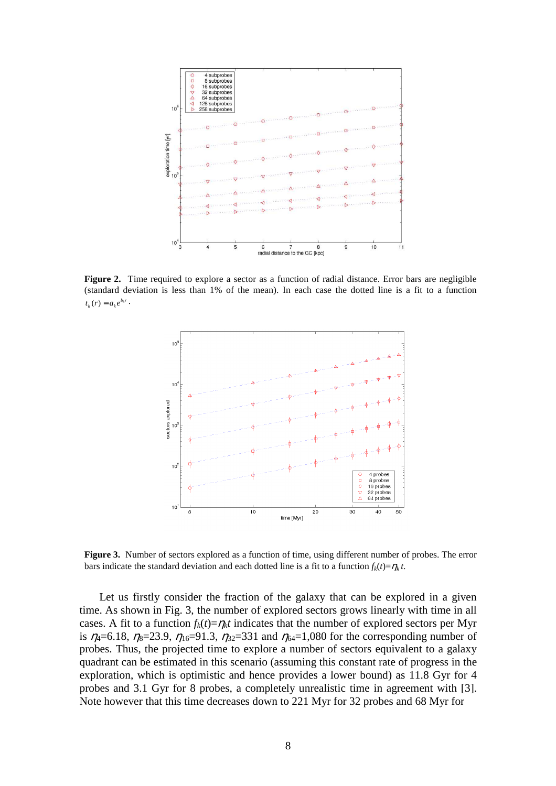

**Figure 2.** Time required to explore a sector as a function of radial distance. Error bars are negligible (standard deviation is less than 1% of the mean). In each case the dotted line is a fit to a function  $t_k(r) = a_k e^{b_k r}$ .



**Figure 3.** Number of sectors explored as a function of time, using different number of probes. The error bars indicate the standard deviation and each dotted line is a fit to a function  $f_k(t) = \eta_k t$ .

Let us firstly consider the fraction of the galaxy that can be explored in a given time. As shown in Fig. 3, the number of explored sectors grows linearly with time in all cases. A fit to a function  $f_k(t) = \eta_k t$  indicates that the number of explored sectors per Myr is  $\eta_4 = 6.18$ ,  $\eta_8 = 23.9$ ,  $\eta_{16} = 91.3$ ,  $\eta_{32} = 331$  and  $\eta_{64} = 1,080$  for the corresponding number of probes. Thus, the projected time to explore a number of sectors equivalent to a galaxy quadrant can be estimated in this scenario (assuming this constant rate of progress in the exploration, which is optimistic and hence provides a lower bound) as 11.8 Gyr for 4 probes and 3.1 Gyr for 8 probes, a completely unrealistic time in agreement with [3]. Note however that this time decreases down to 221 Myr for 32 probes and 68 Myr for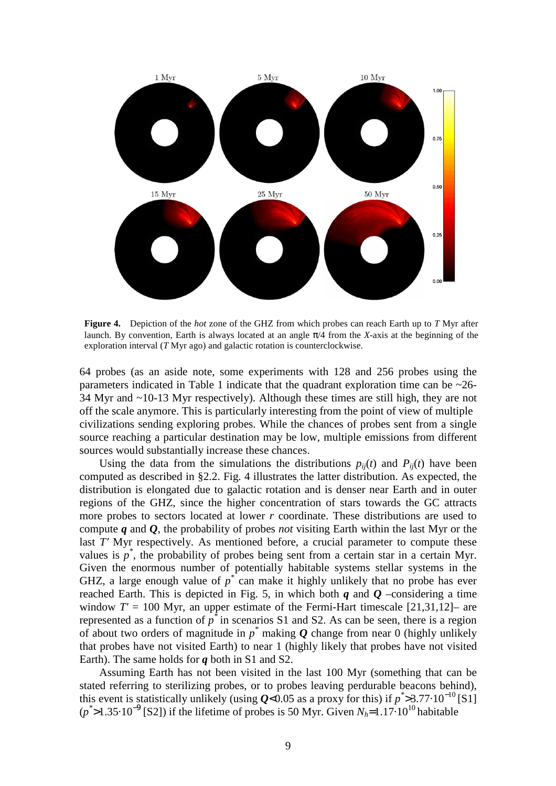

**Figure 4.** Depiction of the *hot* zone of the GHZ from which probes can reach Earth up to *T* Myr after launch. By convention, Earth is always located at an angle  $\pi/4$  from the *X*-axis at the beginning of the exploration interval (*T* Myr ago) and galactic rotation is counterclockwise.

64 probes (as an aside note, some experiments with 128 and 256 probes using the parameters indicated in Table 1 indicate that the quadrant exploration time can be  $\sim$ 26-34 Myr and ~10-13 Myr respectively). Although these times are still high, they are not off the scale anymore. This is particularly interesting from the point of view of multiple civilizations sending exploring probes. While the chances of probes sent from a single source reaching a particular destination may be low, multiple emissions from different sources would substantially increase these chances.

Using the data from the simulations the distributions  $p_{ij}(t)$  and  $P_{ij}(t)$  have been computed as described in §2.2. Fig. 4 illustrates the latter distribution. As expected, the distribution is elongated due to galactic rotation and is denser near Earth and in outer regions of the GHZ, since the higher concentration of stars towards the GC attracts more probes to sectors located at lower *r* coordinate. These distributions are used to compute *q* and *Q*, the probability of probes *not* visiting Earth within the last Myr or the last *T'* Myr respectively. As mentioned before, a crucial parameter to compute these values is  $p^*$ , the probability of probes being sent from a certain star in a certain Myr. Given the enormous number of potentially habitable systems stellar systems in the GHZ, a large enough value of  $p^*$  can make it highly unlikely that no probe has ever reached Earth. This is depicted in Fig. 5, in which both  $q$  and  $Q$  –considering a time window  $T' = 100$  Myr, an upper estimate of the Fermi-Hart timescale  $[21,31,12]$ – are represented as a function of  $p^*$  in scenarios S1 and S2. As can be seen, there is a region of about two orders of magnitude in  $p^*$  making  $Q$  change from near 0 (highly unlikely that probes have not visited Earth) to near 1 (highly likely that probes have not visited Earth). The same holds for *q* both in S1 and S2.

Assuming Earth has not been visited in the last 100 Myr (something that can be stated referring to sterilizing probes, or to probes leaving perdurable beacons behind), this event is statistically unlikely (using  $Q$ <0.05 as a proxy for this) if  $p^*$ >3.77·10<sup>-10</sup>[S1] (*p*<sup>\*</sup>>1.35⋅10<sup>-9</sup> [S2]) if the lifetime of probes is 50 Myr. Given *N<sub>h</sub>*=1.17⋅10<sup>10</sup> habitable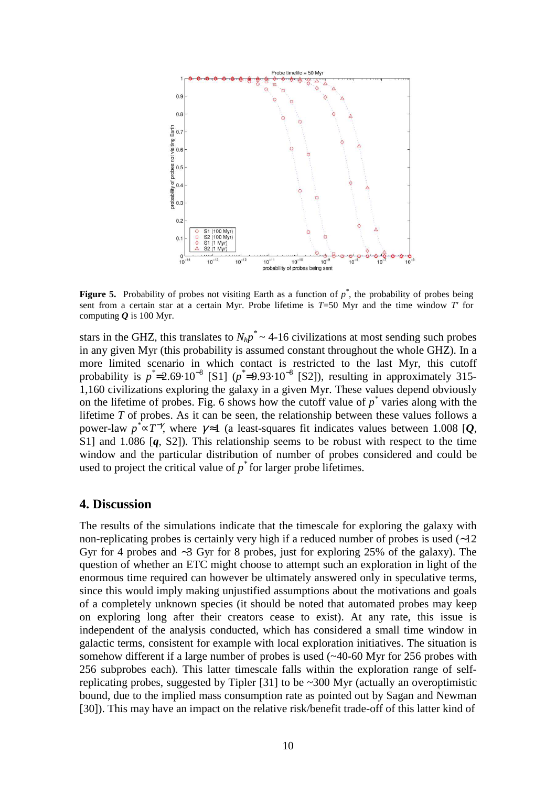

**Figure 5.** Probability of probes not visiting Earth as a function of  $p^*$ , the probability of probes being sent from a certain star at a certain Myr. Probe lifetime is *T*=50 Myr and the time window *T'* for computing  $Q$  is 100 Myr.

stars in the GHZ, this translates to  $N_h p^* \sim 4$ -16 civilizations at most sending such probes in any given Myr (this probability is assumed constant throughout the whole GHZ). In a more limited scenario in which contact is restricted to the last Myr, this cutoff probability is  $p^* = 2.69 \cdot 10^{-8}$  [S1]  $(p^* = 9.93 \cdot 10^{-8}$  [S2]), resulting in approximately 315-1,160 civilizations exploring the galaxy in a given Myr. These values depend obviously on the lifetime of probes. Fig. 6 shows how the cutoff value of  $p^*$  varies along with the lifetime *T* of probes. As it can be seen, the relationship between these values follows a power-law  $p^* \propto T^{-\gamma}$ , where  $\gamma \approx 1$  (a least-squares fit indicates values between 1.008 [*Q*, S1] and 1.086 [*q*, S2]). This relationship seems to be robust with respect to the time window and the particular distribution of number of probes considered and could be used to project the critical value of  $p^*$  for larger probe lifetimes.

#### **4. Discussion**

The results of the simulations indicate that the timescale for exploring the galaxy with non-replicating probes is certainly very high if a reduced number of probes is used (∼12 Gyr for 4 probes and ∼3 Gyr for 8 probes, just for exploring 25% of the galaxy). The question of whether an ETC might choose to attempt such an exploration in light of the enormous time required can however be ultimately answered only in speculative terms, since this would imply making unjustified assumptions about the motivations and goals of a completely unknown species (it should be noted that automated probes may keep on exploring long after their creators cease to exist). At any rate, this issue is independent of the analysis conducted, which has considered a small time window in galactic terms, consistent for example with local exploration initiatives. The situation is somehow different if a large number of probes is used (~40-60 Myr for 256 probes with 256 subprobes each). This latter timescale falls within the exploration range of selfreplicating probes, suggested by Tipler [31] to be ~300 Myr (actually an overoptimistic bound, due to the implied mass consumption rate as pointed out by Sagan and Newman [30]). This may have an impact on the relative risk/benefit trade-off of this latter kind of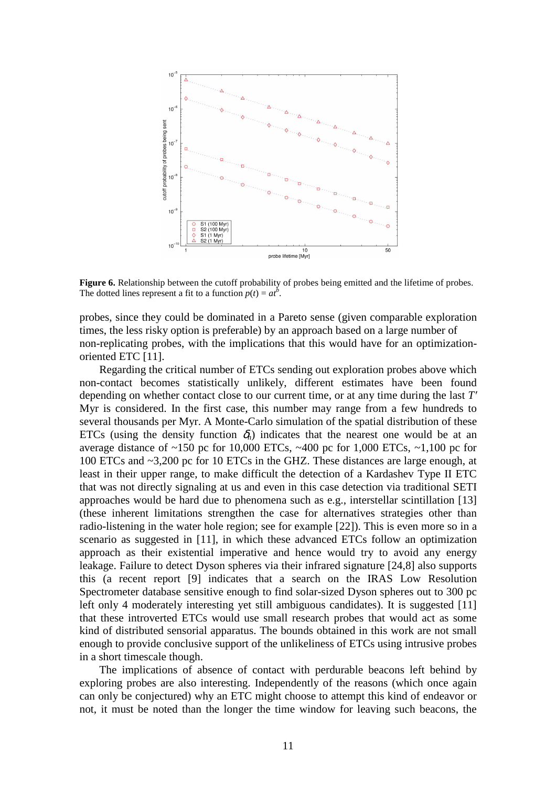

**Figure 6.** Relationship between the cutoff probability of probes being emitted and the lifetime of probes. The dotted lines represent a fit to a function  $p(t) = at^b$ .

probes, since they could be dominated in a Pareto sense (given comparable exploration times, the less risky option is preferable) by an approach based on a large number of non-replicating probes, with the implications that this would have for an optimizationoriented ETC [11].

Regarding the critical number of ETCs sending out exploration probes above which non-contact becomes statistically unlikely, different estimates have been found depending on whether contact close to our current time, or at any time during the last *T′* Myr is considered. In the first case, this number may range from a few hundreds to several thousands per Myr. A Monte-Carlo simulation of the spatial distribution of these ETCs (using the density function  $\delta_h$ ) indicates that the nearest one would be at an average distance of  $\sim$ 150 pc for 10,000 ETCs,  $\sim$ 400 pc for 1,000 ETCs,  $\sim$ 1,100 pc for 100 ETCs and ~3,200 pc for 10 ETCs in the GHZ. These distances are large enough, at least in their upper range, to make difficult the detection of a Kardashev Type II ETC that was not directly signaling at us and even in this case detection via traditional SETI approaches would be hard due to phenomena such as e.g., interstellar scintillation [13] (these inherent limitations strengthen the case for alternatives strategies other than radio-listening in the water hole region; see for example [22]). This is even more so in a scenario as suggested in [11], in which these advanced ETCs follow an optimization approach as their existential imperative and hence would try to avoid any energy leakage. Failure to detect Dyson spheres via their infrared signature [24,8] also supports this (a recent report [9] indicates that a search on the IRAS Low Resolution Spectrometer database sensitive enough to find solar-sized Dyson spheres out to 300 pc left only 4 moderately interesting yet still ambiguous candidates). It is suggested [11] that these introverted ETCs would use small research probes that would act as some kind of distributed sensorial apparatus. The bounds obtained in this work are not small enough to provide conclusive support of the unlikeliness of ETCs using intrusive probes in a short timescale though.

The implications of absence of contact with perdurable beacons left behind by exploring probes are also interesting. Independently of the reasons (which once again can only be conjectured) why an ETC might choose to attempt this kind of endeavor or not, it must be noted than the longer the time window for leaving such beacons, the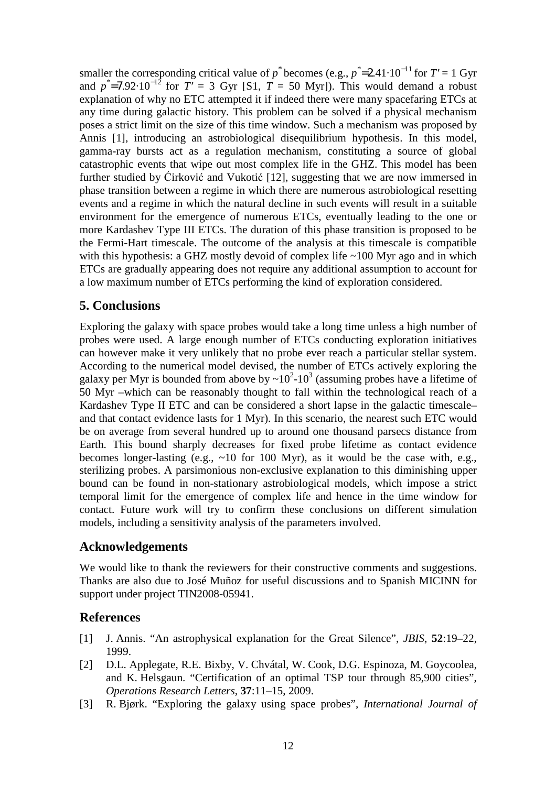smaller the corresponding critical value of *p*<sup>\*</sup> becomes (e.g.,  $p^* = 2.41 \cdot 10^{-11}$  for  $T' = 1$  Gyr and  $p^*$ =7.92·10<sup>-12</sup> for  $T' = 3$  Gyr [S1,  $T = 50$  Myr]). This would demand a robust explanation of why no ETC attempted it if indeed there were many spacefaring ETCs at any time during galactic history. This problem can be solved if a physical mechanism poses a strict limit on the size of this time window. Such a mechanism was proposed by Annis [1], introducing an astrobiological disequilibrium hypothesis. In this model, gamma-ray bursts act as a regulation mechanism, constituting a source of global catastrophic events that wipe out most complex life in the GHZ. This model has been further studied by Ćirković and Vukotić [12], suggesting that we are now immersed in phase transition between a regime in which there are numerous astrobiological resetting events and a regime in which the natural decline in such events will result in a suitable environment for the emergence of numerous ETCs, eventually leading to the one or more Kardashev Type III ETCs. The duration of this phase transition is proposed to be the Fermi-Hart timescale. The outcome of the analysis at this timescale is compatible with this hypothesis: a GHZ mostly devoid of complex life ~100 Myr ago and in which ETCs are gradually appearing does not require any additional assumption to account for a low maximum number of ETCs performing the kind of exploration considered.

## **5. Conclusions**

Exploring the galaxy with space probes would take a long time unless a high number of probes were used. A large enough number of ETCs conducting exploration initiatives can however make it very unlikely that no probe ever reach a particular stellar system. According to the numerical model devised, the number of ETCs actively exploring the galaxy per Myr is bounded from above by  $\sim 10^2$ -10<sup>3</sup> (assuming probes have a lifetime of 50 Myr –which can be reasonably thought to fall within the technological reach of a Kardashev Type II ETC and can be considered a short lapse in the galactic timescale– and that contact evidence lasts for 1 Myr). In this scenario, the nearest such ETC would be on average from several hundred up to around one thousand parsecs distance from Earth. This bound sharply decreases for fixed probe lifetime as contact evidence becomes longer-lasting (e.g.,  $\sim 10$  for 100 Myr), as it would be the case with, e.g., sterilizing probes. A parsimonious non-exclusive explanation to this diminishing upper bound can be found in non-stationary astrobiological models, which impose a strict temporal limit for the emergence of complex life and hence in the time window for contact. Future work will try to confirm these conclusions on different simulation models, including a sensitivity analysis of the parameters involved.

## **Acknowledgements**

We would like to thank the reviewers for their constructive comments and suggestions. Thanks are also due to José Muñoz for useful discussions and to Spanish MICINN for support under project TIN2008-05941.

## **References**

- [1] J. Annis. "An astrophysical explanation for the Great Silence", *JBIS*, **52**:19–22, 1999.
- [2] D.L. Applegate, R.E. Bixby, V. Chvátal, W. Cook, D.G. Espinoza, M. Goycoolea, and K. Helsgaun. "Certification of an optimal TSP tour through 85,900 cities", *Operations Research Letters*, **37**:11–15, 2009.
- [3] R. Bjørk. "Exploring the galaxy using space probes", *International Journal of*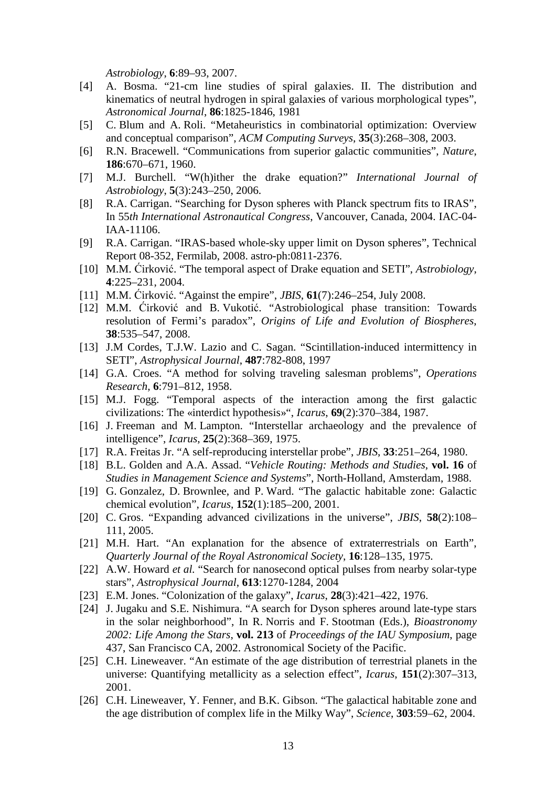*Astrobiology*, **6**:89–93, 2007.

- [4] A. Bosma. "21-cm line studies of spiral galaxies. II. The distribution and kinematics of neutral hydrogen in spiral galaxies of various morphological types", *Astronomical Journal*, **86**:1825-1846, 1981
- [5] C. Blum and A. Roli. "Metaheuristics in combinatorial optimization: Overview and conceptual comparison", *ACM Computing Surveys*, **35**(3):268–308, 2003.
- [6] R.N. Bracewell. "Communications from superior galactic communities", *Nature*, **186**:670–671, 1960.
- [7] M.J. Burchell. "W(h)ither the drake equation?" *International Journal of Astrobiology*, **5**(3):243–250, 2006.
- [8] R.A. Carrigan. "Searching for Dyson spheres with Planck spectrum fits to IRAS", In 55*th International Astronautical Congress*, Vancouver, Canada, 2004. IAC-04- IAA-11106.
- [9] R.A. Carrigan. "IRAS-based whole-sky upper limit on Dyson spheres", Technical Report 08-352, Fermilab, 2008. astro-ph:0811-2376.
- [10] M.M. Ćirković. "The temporal aspect of Drake equation and SETI", *Astrobiology*, **4**:225–231, 2004.
- [11] M.M. Ćirković. "Against the empire", *JBIS*, **61**(7):246–254, July 2008.
- [12] M.M. Ćirković and B. Vukotić. "Astrobiological phase transition: Towards resolution of Fermi's paradox", *Origins of Life and Evolution of Biospheres*, **38**:535–547, 2008.
- [13] J.M Cordes, T.J.W. Lazio and C. Sagan. "Scintillation-induced intermittency in SETI", *Astrophysical Journal*, **487**:782-808, 1997
- [14] G.A. Croes. "A method for solving traveling salesman problems", *Operations Research*, **6**:791–812, 1958.
- [15] M.J. Fogg. "Temporal aspects of the interaction among the first galactic civilizations: The «interdict hypothesis»", *Icarus*, **69**(2):370–384, 1987.
- [16] J. Freeman and M. Lampton. "Interstellar archaeology and the prevalence of intelligence", *Icarus*, **25**(2):368–369, 1975.
- [17] R.A. Freitas Jr. "A self-reproducing interstellar probe", *JBIS*, **33**:251–264, 1980.
- [18] B.L. Golden and A.A. Assad. "*Vehicle Routing: Methods and Studies*, **vol. 16** of *Studies in Management Science and Systems*", North-Holland, Amsterdam, 1988.
- [19] G. Gonzalez, D. Brownlee, and P. Ward. "The galactic habitable zone: Galactic chemical evolution", *Icarus*, **152**(1):185–200, 2001.
- [20] C. Gros. "Expanding advanced civilizations in the universe", *JBIS*, **58**(2):108– 111, 2005.
- [21] M.H. Hart. "An explanation for the absence of extraterrestrials on Earth", *Quarterly Journal of the Royal Astronomical Society*, **16**:128–135, 1975.
- [22] A.W. Howard *et al.* "Search for nanosecond optical pulses from nearby solar-type stars", *Astrophysical Journal*, **613**:1270-1284, 2004
- [23] E.M. Jones. "Colonization of the galaxy", *Icarus*, **28**(3):421–422, 1976.
- [24] J. Jugaku and S.E. Nishimura. "A search for Dyson spheres around late-type stars in the solar neighborhood", In R. Norris and F. Stootman (Eds.), *Bioastronomy 2002: Life Among the Stars*, **vol. 213** of *Proceedings of the IAU Symposium*, page 437, San Francisco CA, 2002. Astronomical Society of the Pacific.
- [25] C.H. Lineweaver. "An estimate of the age distribution of terrestrial planets in the universe: Quantifying metallicity as a selection effect", *Icarus*, **151**(2):307–313, 2001.
- [26] C.H. Lineweaver, Y. Fenner, and B.K. Gibson. "The galactical habitable zone and the age distribution of complex life in the Milky Way", *Science*, **303**:59–62, 2004.